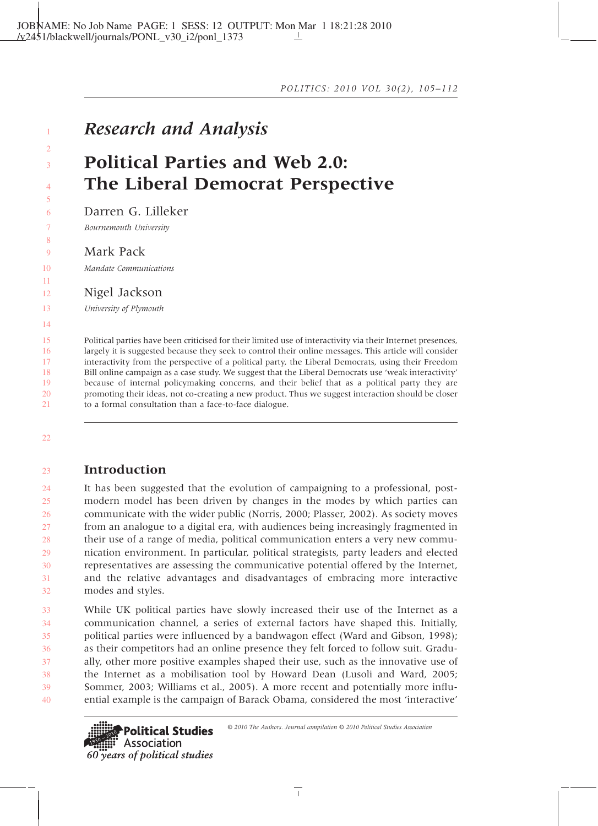*POLITICS: 2010 VOL 30(2), 105–112*

*Research and Analysis* **Political Parties and Web 2.0: The Liberal Democrat Perspective** Darren G. Lilleker *Bournemouth University* Mark Pack *Mandate Communications* Nigel Jackson *University of Plymouth* Political parties have been criticised for their limited use of interactivity via their Internet presences, largely it is suggested because they seek to control their online messages. This article will consider 1 2 3 4 5 6 7 8 9 10 11 12 13 14 15 16 17 18

interactivity from the perspective of a political party, the Liberal Democrats, using their Freedom Bill online campaign as a case study. We suggest that the Liberal Democrats use 'weak interactivity' because of internal policymaking concerns, and their belief that as a political party they are promoting their ideas, not co-creating a new product. Thus we suggest interaction should be closer to a formal consultation than a face-to-face dialogue. 19 20 21

22

#### **Introduction** 23

It has been suggested that the evolution of campaigning to a professional, postmodern model has been driven by changes in the modes by which parties can communicate with the wider public (Norris, 2000; Plasser, 2002). As society moves from an analogue to a digital era, with audiences being increasingly fragmented in their use of a range of media, political communication enters a very new communication environment. In particular, political strategists, party leaders and elected representatives are assessing the communicative potential offered by the Internet, and the relative advantages and disadvantages of embracing more interactive modes and styles. 24 25 26 27 28 29 30 31 32

While UK political parties have slowly increased their use of the Internet as a communication channel, a series of external factors have shaped this. Initially, political parties were influenced by a bandwagon effect (Ward and Gibson, 1998); as their competitors had an online presence they felt forced to follow suit. Gradually, other more positive examples shaped their use, such as the innovative use of the Internet as a mobilisation tool by Howard Dean (Lusoli and Ward, 2005; Sommer, 2003; Williams et al., 2005). A more recent and potentially more influential example is the campaign of Barack Obama, considered the most 'interactive' 33 34 35 36 37 38 39 40



*© 2010 The Authors. Journal compilation © 2010 Political Studies Association*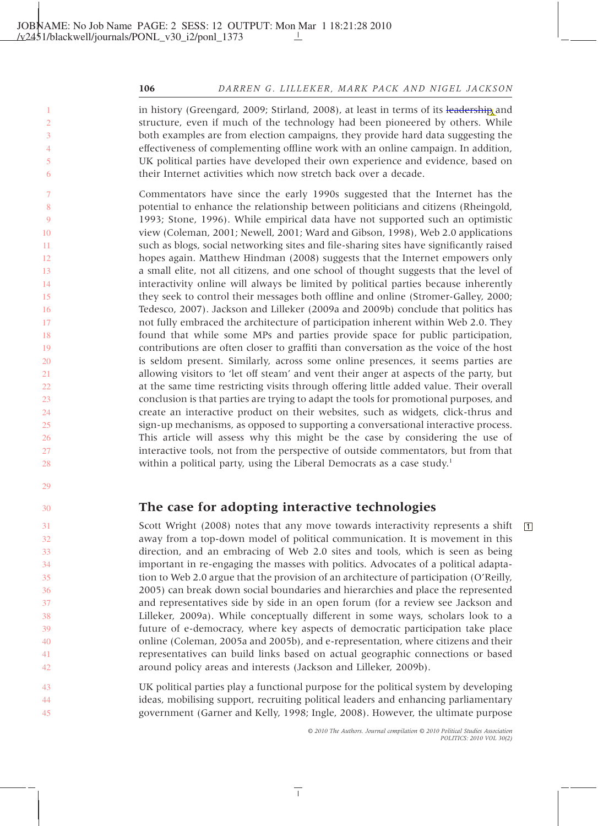#### **106** *DARREN G. LILLEKER, MARK PACK AND NIGEL JACKSON*

in history (Greengard, 2009; Stirland, 2008), at least in terms of its leadership and structure, even if much of the technology had been pioneered by others. While both examples are from election campaigns, they provide hard data suggesting the effectiveness of complementing offline work with an online campaign. In addition, UK political parties have developed their own experience and evidence, based on their Internet activities which now stretch back over a decade.

Commentators have since the early 1990s suggested that the Internet has the potential to enhance the relationship between politicians and citizens (Rheingold, 1993; Stone, 1996). While empirical data have not supported such an optimistic view (Coleman, 2001; Newell, 2001; Ward and Gibson, 1998), Web 2.0 applications such as blogs, social networking sites and file-sharing sites have significantly raised hopes again. Matthew Hindman (2008) suggests that the Internet empowers only a small elite, not all citizens, and one school of thought suggests that the level of interactivity online will always be limited by political parties because inherently they seek to control their messages both offline and online (Stromer-Galley, 2000; Tedesco, 2007). Jackson and Lilleker (2009a and 2009b) conclude that politics has not fully embraced the architecture of participation inherent within Web 2.0. They found that while some MPs and parties provide space for public participation, contributions are often closer to graffiti than conversation as the voice of the host is seldom present. Similarly, across some online presences, it seems parties are allowing visitors to 'let off steam' and vent their anger at aspects of the party, but at the same time restricting visits through offering little added value. Their overall conclusion is that parties are trying to adapt the tools for promotional purposes, and create an interactive product on their websites, such as widgets, click-thrus and sign-up mechanisms, as opposed to supporting a conversational interactive process. This article will assess why this might be the case by considering the use of interactive tools, not from the perspective of outside commentators, but from that within a political party, using the Liberal Democrats as a case study.<sup>1</sup>

29

#### **The case for adopting interactive technologies**

Scott Wright (2008) notes that any move towards interactivity represents a shift away from a top-down model of political communication. It is movement in this direction, and an embracing of Web 2.0 sites and tools, which is seen as being important in re-engaging the masses with politics. Advocates of a political adaptation to Web 2.0 argue that the provision of an architecture of participation (O'Reilly, 2005) can break down social boundaries and hierarchies and place the represented and representatives side by side in an open forum (for a review see Jackson and Lilleker, 2009a). While conceptually different in some ways, scholars look to a future of e-democracy, where key aspects of democratic participation take place online (Coleman, 2005a and 2005b), and e-representation, where citizens and their representatives can build links based on actual geographic connections or based around policy areas and interests (Jackson and Lilleker, 2009b). 1**1**

UK political parties play a functional purpose for the political system by developing ideas, mobilising support, recruiting political leaders and enhancing parliamentary government (Garner and Kelly, 1998; Ingle, 2008). However, the ultimate purpose 43 44 45

> *© 2010 The Authors. Journal compilation © 2010 Political Studies Association POLITICS: 2010 VOL 30(2)*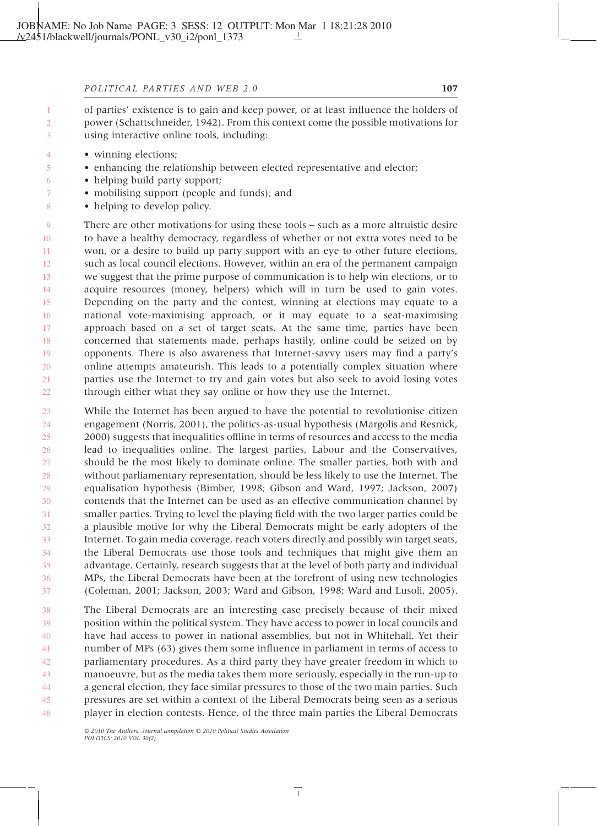#### *POLITICAL PARTIES AND WEB 2.0* **107**

of parties' existence is to gain and keep power, or at least influence the holders of power (Schattschneider, 1942). From this context come the possible motivations for using interactive online tools, including:

• winning elections;

- enhancing the relationship between elected representative and elector;
- helping build party support;
- mobilising support (people and funds); and
- helping to develop policy. 8

There are other motivations for using these tools – such as a more altruistic desire to have a healthy democracy, regardless of whether or not extra votes need to be won, or a desire to build up party support with an eye to other future elections, such as local council elections. However, within an era of the permanent campaign we suggest that the prime purpose of communication is to help win elections, or to acquire resources (money, helpers) which will in turn be used to gain votes. Depending on the party and the contest, winning at elections may equate to a national vote-maximising approach, or it may equate to a seat-maximising approach based on a set of target seats. At the same time, parties have been concerned that statements made, perhaps hastily, online could be seized on by opponents. There is also awareness that Internet-savvy users may find a party's online attempts amateurish. This leads to a potentially complex situation where parties use the Internet to try and gain votes but also seek to avoid losing votes through either what they say online or how they use the Internet.  $\overline{Q}$ 10 11 12 13 14 15 16 17 18 19 20 21 22

- While the Internet has been argued to have the potential to revolutionise citizen engagement (Norris, 2001), the politics-as-usual hypothesis (Margolis and Resnick, 2000) suggests that inequalities offline in terms of resources and access to the media lead to inequalities online. The largest parties, Labour and the Conservatives, should be the most likely to dominate online. The smaller parties, both with and without parliamentary representation, should be less likely to use the Internet. The equalisation hypothesis (Bimber, 1998; Gibson and Ward, 1997; Jackson, 2007) contends that the Internet can be used as an effective communication channel by smaller parties. Trying to level the playing field with the two larger parties could be a plausible motive for why the Liberal Democrats might be early adopters of the Internet. To gain media coverage, reach voters directly and possibly win target seats, the Liberal Democrats use those tools and techniques that might give them an advantage. Certainly, research suggests that at the level of both party and individual MPs, the Liberal Democrats have been at the forefront of using new technologies (Coleman, 2001; Jackson, 2003; Ward and Gibson, 1998; Ward and Lusoli, 2005).  $23$ 24 25 26 27 28 29 30 31 32 33 34 35 36 37
- The Liberal Democrats are an interesting case precisely because of their mixed position within the political system. They have access to power in local councils and have had access to power in national assemblies, but not in Whitehall. Yet their number of MPs (63) gives them some influence in parliament in terms of access to parliamentary procedures. As a third party they have greater freedom in which to manoeuvre, but as the media takes them more seriously, especially in the run-up to a general election, they face similar pressures to those of the two main parties. Such pressures are set within a context of the Liberal Democrats being seen as a serious player in election contests. Hence, of the three main parties the Liberal Democrats 38 39 40 41 42 43 44 45 46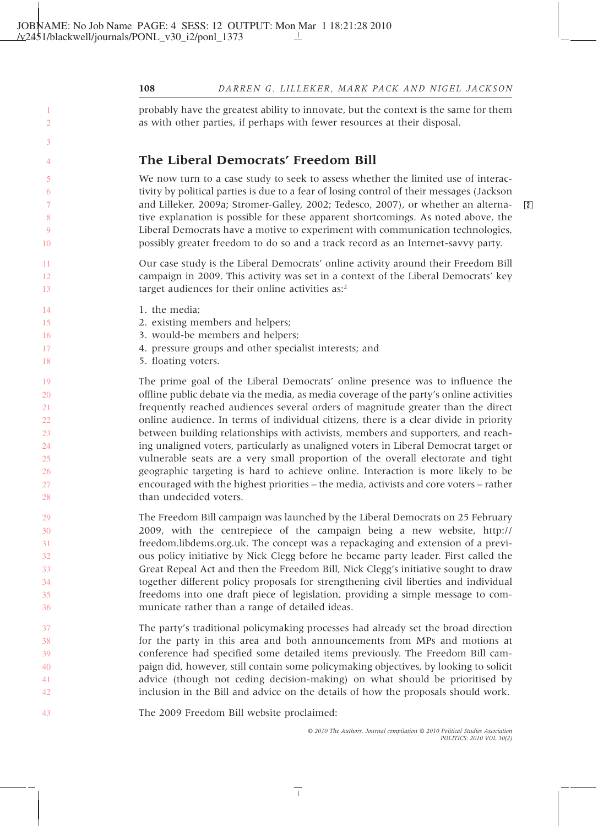probably have the greatest ability to innovate, but the context is the same for them as with other parties, if perhaps with fewer resources at their disposal. **The Liberal Democrats' Freedom Bill** We now turn to a case study to seek to assess whether the limited use of interactivity by political parties is due to a fear of losing control of their messages (Jackson and Lilleker, 2009a; Stromer-Galley, 2002; Tedesco, 2007), or whether an alternative explanation is possible for these apparent shortcomings. As noted above, the Liberal Democrats have a motive to experiment with communication technologies, possibly greater freedom to do so and a track record as an Internet-savvy party. Our case study is the Liberal Democrats' online activity around their Freedom Bill campaign in 2009. This activity was set in a context of the Liberal Democrats' key target audiences for their online activities as:<sup>2</sup> 1. the media; 2. existing members and helpers; 3. would-be members and helpers; 4. pressure groups and other specialist interests; and 5. floating voters. The prime goal of the Liberal Democrats' online presence was to influence the offline public debate via the media, as media coverage of the party's online activities frequently reached audiences several orders of magnitude greater than the direct online audience. In terms of individual citizens, there is a clear divide in priority between building relationships with activists, members and supporters, and reaching unaligned voters, particularly as unaligned voters in Liberal Democrat target or vulnerable seats are a very small proportion of the overall electorate and tight geographic targeting is hard to achieve online. Interaction is more likely to be encouraged with the highest priorities – the media, activists and core voters – rather than undecided voters. The Freedom Bill campaign was launched by the Liberal Democrats on 25 February 2009, with the centrepiece of the campaign being a new website, http:// freedom.libdems.org.uk. The concept was a repackaging and extension of a previous policy initiative by Nick Clegg before he became party leader. First called the Great Repeal Act and then the Freedom Bill, Nick Clegg's initiative sought to draw together different policy proposals for strengthening civil liberties and individual freedoms into one draft piece of legislation, providing a simple message to communicate rather than a range of detailed ideas. The party's traditional policymaking processes had already set the broad direction for the party in this area and both announcements from MPs and motions at conference had specified some detailed items previously. The Freedom Bill campaign did, however, still contain some policymaking objectives, by looking to solicit **108** *DARREN G. LILLEKER, MARK PACK AND NIGEL JACKSON* 1 2 3 4 5 6 7 8  $\alpha$ 10 11 12 13 14 15 16 17 18 19 20 21 22 23 24 25 26 27 28  $29$ 30 31 32 33 34 35 36 37 38 39 40

The 2009 Freedom Bill website proclaimed: 43

41  $42$ 

> *© 2010 The Authors. Journal compilation © 2010 Political Studies Association POLITICS: 2010 VOL 30(2)*

2**2**

advice (though not ceding decision-making) on what should be prioritised by inclusion in the Bill and advice on the details of how the proposals should work.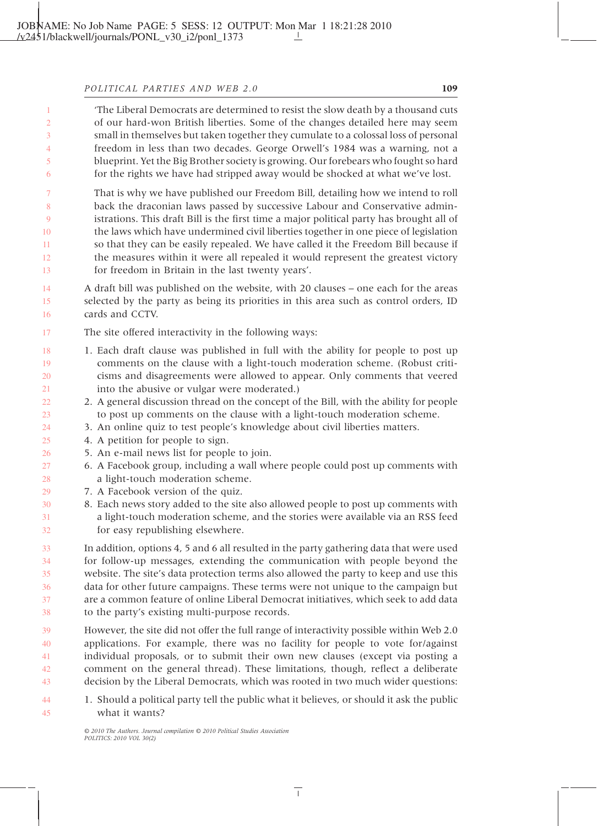#### *POLITICAL PARTIES AND WEB 2.0* **109**

29

31

'The Liberal Democrats are determined to resist the slow death by a thousand cuts of our hard-won British liberties. Some of the changes detailed here may seem small in themselves but taken together they cumulate to a colossal loss of personal freedom in less than two decades. George Orwell's 1984 was a warning, not a blueprint. Yet the Big Brother society is growing. Our forebears who fought so hard for the rights we have had stripped away would be shocked at what we've lost.

That is why we have published our Freedom Bill, detailing how we intend to roll back the draconian laws passed by successive Labour and Conservative administrations. This draft Bill is the first time a major political party has brought all of the laws which have undermined civil liberties together in one piece of legislation so that they can be easily repealed. We have called it the Freedom Bill because if the measures within it were all repealed it would represent the greatest victory for freedom in Britain in the last twenty years'. 7 8  $\alpha$ 10 11  $12$ 13

- A draft bill was published on the website, with 20 clauses one each for the areas selected by the party as being its priorities in this area such as control orders, ID cards and CCTV. 14 15 16
- The site offered interactivity in the following ways: 17
	- 1. Each draft clause was published in full with the ability for people to post up comments on the clause with a light-touch moderation scheme. (Robust criticisms and disagreements were allowed to appear. Only comments that veered into the abusive or vulgar were moderated.)
		- 2. A general discussion thread on the concept of the Bill, with the ability for people to post up comments on the clause with a light-touch moderation scheme.
	- 3. An online quiz to test people's knowledge about civil liberties matters.
	- 4. A petition for people to sign.
- 5. An e-mail news list for people to join. 26
- 6. A Facebook group, including a wall where people could post up comments with a light-touch moderation scheme. 27 28
	- 7. A Facebook version of the quiz.
- 8. Each news story added to the site also allowed people to post up comments with a light-touch moderation scheme, and the stories were available via an RSS feed for easy republishing elsewhere. 30 32

In addition, options 4, 5 and 6 all resulted in the party gathering data that were used for follow-up messages, extending the communication with people beyond the website. The site's data protection terms also allowed the party to keep and use this data for other future campaigns. These terms were not unique to the campaign but are a common feature of online Liberal Democrat initiatives, which seek to add data to the party's existing multi-purpose records. 33 34 35 36 37 38

- However, the site did not offer the full range of interactivity possible within Web 2.0 applications. For example, there was no facility for people to vote for/against individual proposals, or to submit their own new clauses (except via posting a comment on the general thread). These limitations, though, reflect a deliberate decision by the Liberal Democrats, which was rooted in two much wider questions: 39 40 41 42 43
- 1. Should a political party tell the public what it believes, or should it ask the public what it wants? 44 45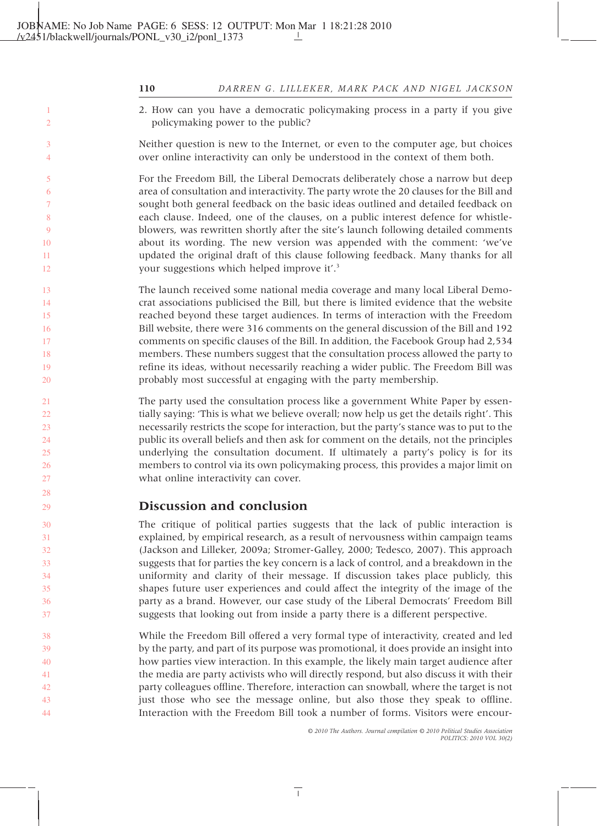#### **110** *DARREN G. LILLEKER, MARK PACK AND NIGEL JACKSON*

2. How can you have a democratic policymaking process in a party if you give policymaking power to the public?

Neither question is new to the Internet, or even to the computer age, but choices over online interactivity can only be understood in the context of them both.

For the Freedom Bill, the Liberal Democrats deliberately chose a narrow but deep area of consultation and interactivity. The party wrote the 20 clauses for the Bill and sought both general feedback on the basic ideas outlined and detailed feedback on each clause. Indeed, one of the clauses, on a public interest defence for whistleblowers, was rewritten shortly after the site's launch following detailed comments about its wording. The new version was appended with the comment: 'we've updated the original draft of this clause following feedback. Many thanks for all your suggestions which helped improve it'.3

- The launch received some national media coverage and many local Liberal Democrat associations publicised the Bill, but there is limited evidence that the website reached beyond these target audiences. In terms of interaction with the Freedom Bill website, there were 316 comments on the general discussion of the Bill and 192 comments on specific clauses of the Bill. In addition, the Facebook Group had 2,534 members. These numbers suggest that the consultation process allowed the party to refine its ideas, without necessarily reaching a wider public. The Freedom Bill was probably most successful at engaging with the party membership. 13 14 15 16 17 18 19 20
- The party used the consultation process like a government White Paper by essentially saying: 'This is what we believe overall; now help us get the details right'. This necessarily restricts the scope for interaction, but the party's stance was to put to the public its overall beliefs and then ask for comment on the details, not the principles underlying the consultation document. If ultimately a party's policy is for its members to control via its own policymaking process, this provides a major limit on what online interactivity can cover.  $21$  $22$  $23$ 24 25 26 27

#### **Discussion and conclusion**

The critique of political parties suggests that the lack of public interaction is explained, by empirical research, as a result of nervousness within campaign teams (Jackson and Lilleker, 2009a; Stromer-Galley, 2000; Tedesco, 2007). This approach suggests that for parties the key concern is a lack of control, and a breakdown in the uniformity and clarity of their message. If discussion takes place publicly, this shapes future user experiences and could affect the integrity of the image of the party as a brand. However, our case study of the Liberal Democrats' Freedom Bill suggests that looking out from inside a party there is a different perspective.

While the Freedom Bill offered a very formal type of interactivity, created and led by the party, and part of its purpose was promotional, it does provide an insight into how parties view interaction. In this example, the likely main target audience after the media are party activists who will directly respond, but also discuss it with their party colleagues offline. Therefore, interaction can snowball, where the target is not just those who see the message online, but also those they speak to offline. Interaction with the Freedom Bill took a number of forms. Visitors were encour-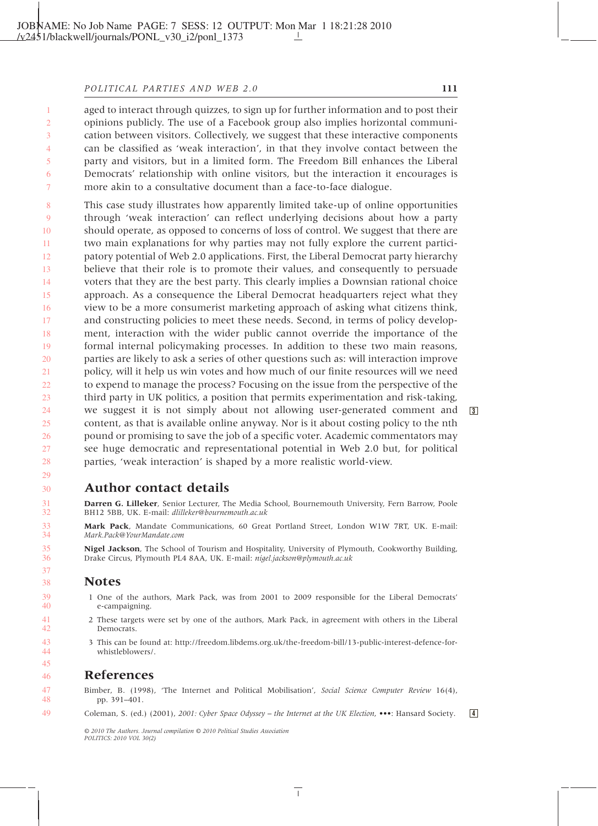#### *POLITICAL PARTIES AND WEB 2.0* **111**

aged to interact through quizzes, to sign up for further information and to post their opinions publicly. The use of a Facebook group also implies horizontal communication between visitors. Collectively, we suggest that these interactive components can be classified as 'weak interaction', in that they involve contact between the party and visitors, but in a limited form. The Freedom Bill enhances the Liberal Democrats' relationship with online visitors, but the interaction it encourages is more akin to a consultative document than a face-to-face dialogue. 1 2 3 4 5 6

This case study illustrates how apparently limited take-up of online opportunities through 'weak interaction' can reflect underlying decisions about how a party should operate, as opposed to concerns of loss of control. We suggest that there are two main explanations for why parties may not fully explore the current participatory potential of Web 2.0 applications. First, the Liberal Democrat party hierarchy believe that their role is to promote their values, and consequently to persuade voters that they are the best party. This clearly implies a Downsian rational choice approach. As a consequence the Liberal Democrat headquarters reject what they view to be a more consumerist marketing approach of asking what citizens think, and constructing policies to meet these needs. Second, in terms of policy development, interaction with the wider public cannot override the importance of the formal internal policymaking processes. In addition to these two main reasons, parties are likely to ask a series of other questions such as: will interaction improve policy, will it help us win votes and how much of our finite resources will we need to expend to manage the process? Focusing on the issue from the perspective of the third party in UK politics, a position that permits experimentation and risk-taking, we suggest it is not simply about not allowing user-generated comment and content, as that is available online anyway. Nor is it about costing policy to the nth pound or promising to save the job of a specific voter. Academic commentators may see huge democratic and representational potential in Web 2.0 but, for political parties, 'weak interaction' is shaped by a more realistic world-view. 8 9 10 11 12 13 14 15 16 17 18 19 20 21 22 23 24 25 26  $27$ 28

#### **Author contact details**

**Darren G. Lilleker**, Senior Lecturer, The Media School, Bournemouth University, Fern Barrow, Poole BH12 5BB, UK. E-mail: *dlilleker@bournemouth.ac.uk*

**Mark Pack**, Mandate Communications, 60 Great Portland Street, London W1W 7RT, UK. E-mail: *Mark.Pack@YourMandate.com*

**Nigel Jackson**, The School of Tourism and Hospitality, University of Plymouth, Cookworthy Building, Drake Circus, Plymouth PL4 8AA, UK. E-mail: *nigel.jackson@plymouth.ac.uk*

#### **Notes**

7

- 1 One of the authors, Mark Pack, was from 2001 to 2009 responsible for the Liberal Democrats' e-campaigning.
- 2 These targets were set by one of the authors, Mark Pack, in agreement with others in the Liberal Democrats.
- 3 This can be found at: http://freedom.libdems.org.uk/the-freedom-bill/13-public-interest-defence-forwhistleblowers/.

#### **References**

- Bimber, B. (1998), 'The Internet and Political Mobilisation', *Social Science Computer Review* 16(4), pp. 391–401.
- Coleman, S. (ed.) (2001), *2001: Cyber Space Odyssey the Internet at the UK Election*, •••: Hansard Society. 4**4**

*© 2010 The Authors. Journal compilation © 2010 Political Studies Association POLITICS: 2010 VOL 30(2)*

3**3**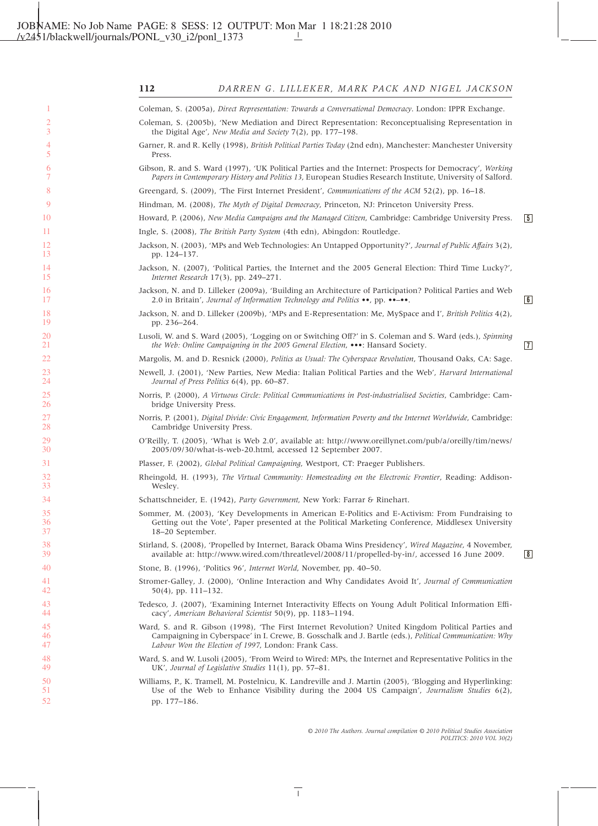|                | Coleman, S. (2005a), Direct Representation: Towards a Conversational Democracy. London: IPPR Exchange.                                                                                                                                                                 |             |
|----------------|------------------------------------------------------------------------------------------------------------------------------------------------------------------------------------------------------------------------------------------------------------------------|-------------|
| 2<br>3         | Coleman, S. (2005b), 'New Mediation and Direct Representation: Reconceptualising Representation in<br>the Digital Age', New Media and Society 7(2), pp. 177–198.                                                                                                       |             |
| 5              | Garner, R. and R. Kelly (1998), British Political Parties Today (2nd edn), Manchester: Manchester University<br>Press.                                                                                                                                                 |             |
| 6<br>7         | Gibson, R. and S. Ward (1997), 'UK Political Parties and the Internet: Prospects for Democracy', Working<br>Papers in Contemporary History and Politics 13, European Studies Research Institute, University of Salford.                                                |             |
| 8              | Greengard, S. (2009), 'The First Internet President', Communications of the ACM 52(2), pp. 16-18.                                                                                                                                                                      |             |
| 9              | Hindman, M. (2008), The Myth of Digital Democracy, Princeton, NJ: Princeton University Press.                                                                                                                                                                          |             |
| 10             | Howard, P. (2006), New Media Campaigns and the Managed Citizen, Cambridge: Cambridge University Press.                                                                                                                                                                 | $\boxed{5}$ |
| 11             | Ingle, S. (2008), The British Party System (4th edn), Abingdon: Routledge.                                                                                                                                                                                             |             |
| 12<br>13       | Jackson, N. (2003), 'MPs and Web Technologies: An Untapped Opportunity?', Journal of Public Affairs 3(2),<br>pp. 124-137.                                                                                                                                              |             |
| 14<br>15       | Jackson, N. (2007), 'Political Parties, the Internet and the 2005 General Election: Third Time Lucky?',<br>Internet Research 17(3), pp. 249-271.                                                                                                                       |             |
| 16<br>17       | Jackson, N. and D. Lilleker (2009a), 'Building an Architecture of Participation? Political Parties and Web<br>2.0 in Britain', Journal of Information Technology and Politics ••, pp. ••–••.                                                                           | 6           |
| 18<br>19       | Jackson, N. and D. Lilleker (2009b), 'MPs and E-Representation: Me, MySpace and I', British Politics 4(2),<br>pp. 236-264.                                                                                                                                             |             |
| 20<br>21       | Lusoli, W. and S. Ward (2005), 'Logging on or Switching Off?' in S. Coleman and S. Ward (eds.), Spinning<br>the Web: Online Campaigning in the 2005 General Election, •••: Hansard Society.                                                                            | $\boxed{7}$ |
| 22             | Margolis, M. and D. Resnick (2000), <i>Politics as Usual: The Cyberspace Revolution</i> , Thousand Oaks, CA: Sage.                                                                                                                                                     |             |
| 23<br>24       | Newell, J. (2001), 'New Parties, New Media: Italian Political Parties and the Web', Harvard International<br>Journal of Press Politics 6(4), pp. 60-87.                                                                                                                |             |
| 25<br>26       | Norris, P. (2000), A Virtuous Circle: Political Communications in Post-industrialised Societies, Cambridge: Cam-<br>bridge University Press.                                                                                                                           |             |
| 27<br>28       | Norris, P. (2001), Digital Divide: Civic Engagement, Information Poverty and the Internet Worldwide, Cambridge:<br>Cambridge University Press.                                                                                                                         |             |
| 29<br>30       | O'Reilly, T. (2005), 'What is Web 2.0', available at: http://www.oreillynet.com/pub/a/oreilly/tim/news/<br>2005/09/30/what-is-web-20.html, accessed 12 September 2007.                                                                                                 |             |
| 31             | Plasser, F. (2002), Global Political Campaigning, Westport, CT: Praeger Publishers.                                                                                                                                                                                    |             |
| 32<br>33       | Rheingold, H. (1993), The Virtual Community: Homesteading on the Electronic Frontier, Reading: Addison-<br>Wesley.                                                                                                                                                     |             |
| 34             | Schattschneider, E. (1942), Party Government, New York: Farrar & Rinehart.                                                                                                                                                                                             |             |
| 35<br>36<br>37 | Sommer, M. (2003), 'Key Developments in American E-Politics and E-Activism: From Fundraising to<br>Getting out the Vote', Paper presented at the Political Marketing Conference, Middlesex University<br>18-20 September.                                              |             |
| 38<br>39       | Stirland, S. (2008), 'Propelled by Internet, Barack Obama Wins Presidency', Wired Magazine, 4 November,<br>available at: http://www.wired.com/threatlevel/2008/11/propelled-by-in/, accessed 16 June 2009.                                                             | $\sqrt{8}$  |
| 40             | Stone, B. (1996), 'Politics 96', Internet World, November, pp. 40–50.                                                                                                                                                                                                  |             |
| 41<br>42       | Stromer-Galley, J. (2000), 'Online Interaction and Why Candidates Avoid It', Journal of Communication<br>$50(4)$ , pp. $111-132$ .                                                                                                                                     |             |
| 43<br>44       | Tedesco, J. (2007), 'Examining Internet Interactivity Effects on Young Adult Political Information Effi-<br>cacy', American Behavioral Scientist 50(9), pp. 1183-1194.                                                                                                 |             |
| 45<br>46<br>47 | Ward, S. and R. Gibson (1998), 'The First Internet Revolution? United Kingdom Political Parties and<br>Campaigning in Cyberspace' in I. Crewe, B. Gosschalk and J. Bartle (eds.), Political Communication: Why<br>Labour Won the Election of 1997, London: Frank Cass. |             |
| 48<br>49       | Ward, S. and W. Lusoli (2005), 'From Weird to Wired: MPs, the Internet and Representative Politics in the<br>UK', Journal of Legislative Studies 11(1), pp. 57–81.                                                                                                     |             |
| 50<br>51       | Williams, P., K. Tramell, M. Postelnicu, K. Landreville and J. Martin (2005), 'Blogging and Hyperlinking:<br>Use of the Web to Enhance Visibility during the 2004 US Campaign', Journalism Studies 6(2),                                                               |             |
| 52             | pp. 177–186.                                                                                                                                                                                                                                                           |             |

**112** *DARREN G. LILLEKER, MARK PACK AND NIGEL JACKSON*

*© 2010 The Authors. Journal compilation © 2010 Political Studies Association POLITICS: 2010 VOL 30(2)*

 $\overline{\top}$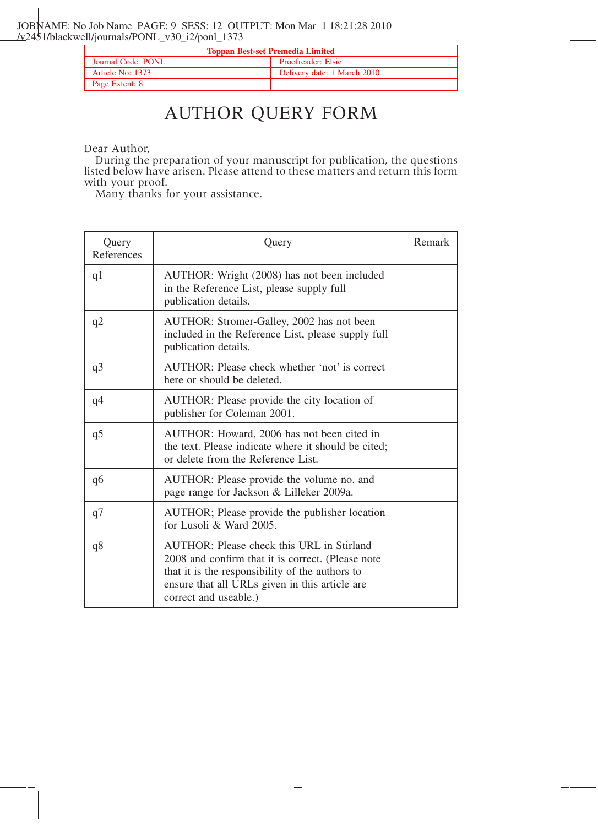| <b>Toppan Best-set Premedia Limited</b> |                             |  |  |  |
|-----------------------------------------|-----------------------------|--|--|--|
| Journal Code: PONL                      | <b>Proofreader: Elsie</b>   |  |  |  |
| Article No: 1373                        | Delivery date: 1 March 2010 |  |  |  |
| Page Extent: 8                          |                             |  |  |  |

## AUTHOR QUERY FORM

Dear Author,

During the preparation of your manuscript for publication, the questions listed below have arisen. Please attend to these matters and return this form with your proof.

Many thanks for your assistance.

| Query<br>References | Query                                                                                                                                                                                                                        | Remark |
|---------------------|------------------------------------------------------------------------------------------------------------------------------------------------------------------------------------------------------------------------------|--------|
| q1                  | AUTHOR: Wright (2008) has not been included<br>in the Reference List, please supply full<br>publication details.                                                                                                             |        |
| q2                  | AUTHOR: Stromer-Galley, 2002 has not been<br>included in the Reference List, please supply full<br>publication details.                                                                                                      |        |
| q3                  | AUTHOR: Please check whether 'not' is correct<br>here or should be deleted.                                                                                                                                                  |        |
| q <sub>4</sub>      | AUTHOR: Please provide the city location of<br>publisher for Coleman 2001.                                                                                                                                                   |        |
| q5                  | AUTHOR: Howard, 2006 has not been cited in<br>the text. Please indicate where it should be cited;<br>or delete from the Reference List.                                                                                      |        |
| q6                  | AUTHOR: Please provide the volume no. and<br>page range for Jackson & Lilleker 2009a.                                                                                                                                        |        |
| q7                  | AUTHOR; Please provide the publisher location<br>for Lusoli & Ward 2005.                                                                                                                                                     |        |
| q8                  | AUTHOR: Please check this URL in Stirland<br>2008 and confirm that it is correct. (Please note<br>that it is the responsibility of the authors to<br>ensure that all URLs given in this article are<br>correct and useable.) |        |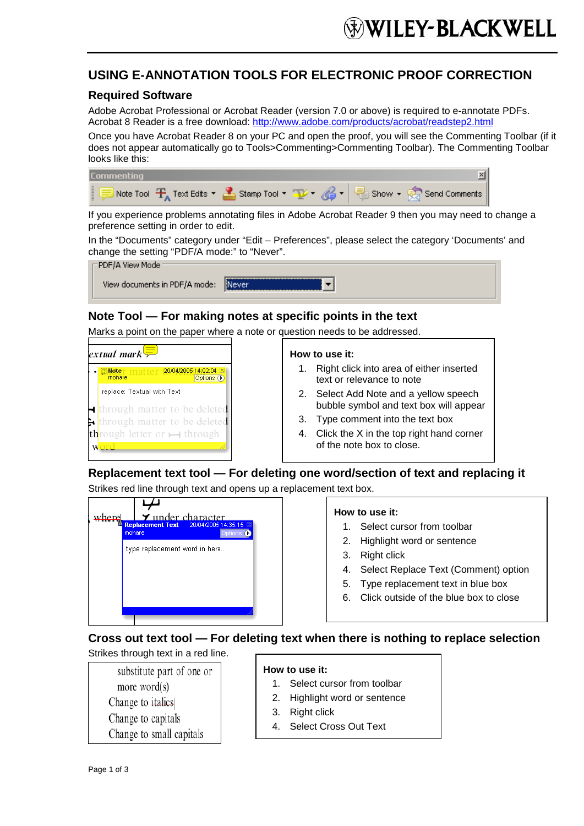## **USING E-ANNOTATION TOOLS FOR ELECTRONIC PROOF CORRECTION**

#### **Required Software**

Adobe Acrobat Professional or Acrobat Reader (version 7.0 or above) is required to e-annotate PDFs. Acrobat 8 Reader is a free download:<http://www.adobe.com/products/acrobat/readstep2.html>

Once you have Acrobat Reader 8 on your PC and open the proof, you will see the Commenting Toolbar (if it does not appear automatically go to Tools>Commenting>Commenting Toolbar). The Commenting Toolbar looks like this:

| <b>Commenting</b> | ⊠                                                                            |
|-------------------|------------------------------------------------------------------------------|
|                   | Display of the Text Edits ▼ 2 Stamp Tool ▼ TV → C + B Show → C Send Comments |

If you experience problems annotating files in Adobe Acrobat Reader 9 then you may need to change a preference setting in order to edit.

In the "Documents" category under "Edit – Preferences", please select the category 'Documents' and change the setting "PDF/A mode:" to "Never".



#### **Note Tool — For making notes at specific points in the text**

Marks a point on the paper where a note or question needs to be addressed.



#### **How to use it:**

- 1. Right click into area of either inserted text or relevance to note
- 2. Select Add Note and a yellow speech bubble symbol and text box will appear
- 3. Type comment into the text box
- 4. Click the X in the top right hand corner of the note box to close.

## **Replacement text tool — For deleting one word/section of text and replacing it**

Strikes red line through text and opens up a replacement text box.



#### **How to use it:**

- 1. Select cursor from toolbar
- 2. Highlight word or sentence
- 3. Right click
- 4. Select Replace Text (Comment) option
- 5. Type replacement text in blue box
- 6. Click outside of the blue box to close

#### **Cross out text tool — For deleting text when there is nothing to replace selection**

Strikes through text in a red line.

substitute part of one or more word $(s)$ Change to italies

Change to capitals

Change to small capitals

#### **How to use it:**

- 1. Select cursor from toolbar
- 2. Highlight word or sentence
- 3. Right click
- 4. Select Cross Out Text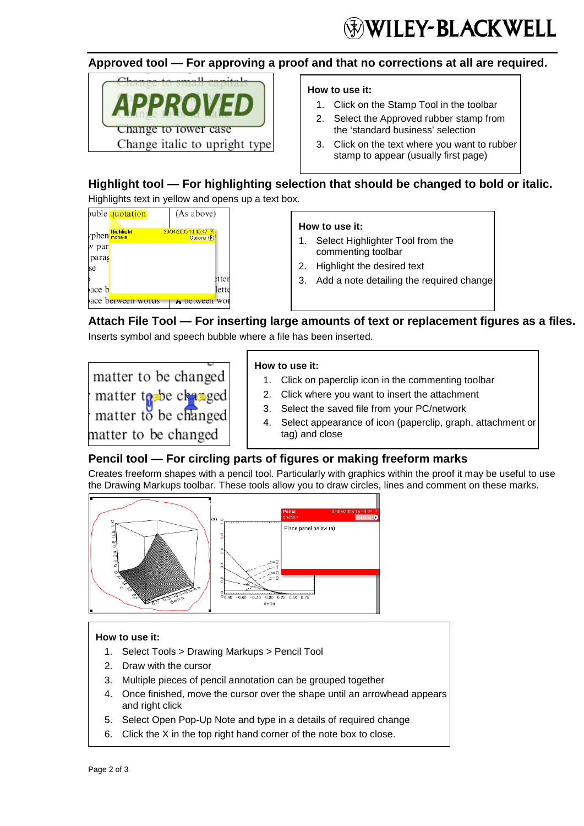

### **Approved tool — For approving a proof and that no corrections at all are required.**



#### **How to use it:**

- 1. Click on the Stamp Tool in the toolbar
- 2. Select the Approved rubber stamp from the 'standard business' selection
- 3. Click on the text where you want to rubber stamp to appear (usually first page)

## **Highlight tool — For highlighting selection that should be changed to bold or italic.**

Highlights text in yellow and opens up a text box.



#### **How to use it:**

- 1. Select Highlighter Tool from the commenting toolbar
- 2. Highlight the desired text
- 3. Add a note detailing the required change

**Attach File Tool — For inserting large amounts of text or replacement figures as a files.**

Inserts symbol and speech bubble where a file has been inserted.

| matter to be changed |
|----------------------|
| matter to be changed |
| matter to be changed |
| matter to be changed |

#### **How to use it:**

- 1. Click on paperclip icon in the commenting toolbar
- 2. Click where you want to insert the attachment
- 3. Select the saved file from your PC/network
- 4. Select appearance of icon (paperclip, graph, attachment or tag) and close

#### **Pencil tool — For circling parts of figures or making freeform marks**

Creates freeform shapes with a pencil tool. Particularly with graphics within the proof it may be useful to use the Drawing Markups toolbar. These tools allow you to draw circles, lines and comment on these marks.



#### **How to use it:**

- 1. Select Tools > Drawing Markups > Pencil Tool
- 2. Draw with the cursor
- 3. Multiple pieces of pencil annotation can be grouped together
- 4. Once finished, move the cursor over the shape until an arrowhead appears and right click
- 5. Select Open Pop-Up Note and type in a details of required change
- 6. Click the X in the top right hand corner of the note box to close.